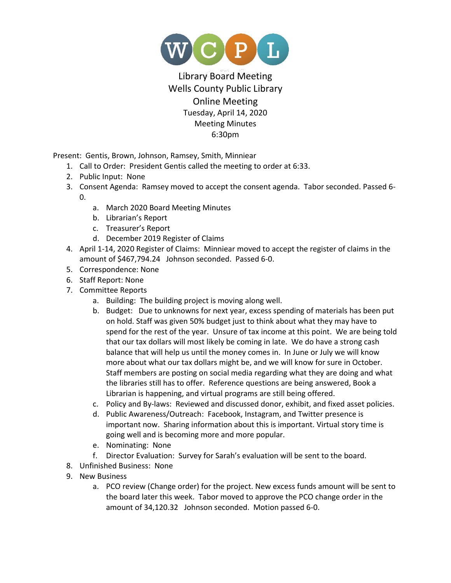

## Library Board Meeting Wells County Public Library Online Meeting Tuesday, April 14, 2020 Meeting Minutes 6:30pm

Present: Gentis, Brown, Johnson, Ramsey, Smith, Minniear

- 1. Call to Order: President Gentis called the meeting to order at 6:33.
- 2. Public Input: None
- 3. Consent Agenda: Ramsey moved to accept the consent agenda. Tabor seconded. Passed 6- 0.
	- a. March 2020 Board Meeting Minutes
	- b. Librarian's Report
	- c. Treasurer's Report
	- d. December 2019 Register of Claims
- 4. April 1-14, 2020 Register of Claims: Minniear moved to accept the register of claims in the amount of \$467,794.24 Johnson seconded. Passed 6-0.
- 5. Correspondence: None
- 6. Staff Report: None
- 7. Committee Reports
	- a. Building: The building project is moving along well.
	- b. Budget: Due to unknowns for next year, excess spending of materials has been put on hold. Staff was given 50% budget just to think about what they may have to spend for the rest of the year. Unsure of tax income at this point. We are being told that our tax dollars will most likely be coming in late. We do have a strong cash balance that will help us until the money comes in. In June or July we will know more about what our tax dollars might be, and we will know for sure in October. Staff members are posting on social media regarding what they are doing and what the libraries still has to offer. Reference questions are being answered, Book a Librarian is happening, and virtual programs are still being offered.
	- c. Policy and By-laws: Reviewed and discussed donor, exhibit, and fixed asset policies.
	- d. Public Awareness/Outreach: Facebook, Instagram, and Twitter presence is important now. Sharing information about this is important. Virtual story time is going well and is becoming more and more popular.
	- e. Nominating: None
	- f. Director Evaluation: Survey for Sarah's evaluation will be sent to the board.
- 8. Unfinished Business: None
- 9. New Business
	- a. PCO review (Change order) for the project. New excess funds amount will be sent to the board later this week. Tabor moved to approve the PCO change order in the amount of 34,120.32 Johnson seconded. Motion passed 6-0.